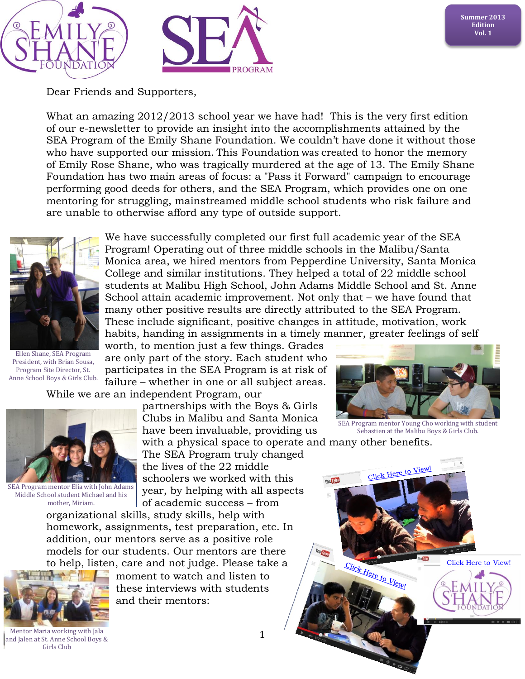

Dear Friends and Supporters,

What an amazing  $2012/2013$  school year we have had! This is the very first edition of our e-newsletter to provide an insight into the accomplishments attained by the SEA Program of the Emily Shane Foundation. We couldn't have done it without those who have supported our mission. This Foundation was created to honor the memory of Emily Rose Shane, who was tragically murdered at the age of 13. The Emily Shane Foundation has two main areas of focus: a "Pass it Forward" campaign to encourage performing good deeds for others, and the SEA Program, which provides one on one mentoring for struggling, mainstreamed middle school students who risk failure and are unable to otherwise afford any type of outside support.



Ellen Shane, SEA Program President, with Brian Sousa, Program Site Director, St. Anne School Boys & Girls Club.

We have successfully completed our first full academic year of the SEA Program! Operating out of three middle schools in the Malibu/Santa Monica area, we hired mentors from Pepperdine University, Santa Monica College and similar institutions. They helped a total of 22 middle school students at Malibu High School, John Adams Middle School and St. Anne School attain academic improvement. Not only that – we have found that many other positive results are directly attributed to the SEA Program. These include significant, positive changes in attitude, motivation, work habits, handing in assignments in a timely manner, greater feelings of self

worth, to mention just a few things. Grades are only part of the story. Each student who participates in the SEA Program is at risk of failure – whether in one or all subject areas.

While we are an independent Program, our



SEA Program mentor Elia with John Adams Middle School student Michael and his mother, Miriam.

partnerships with the Boys & Girls Clubs in Malibu and Santa Monica have been invaluable, providing us

with a physical space to operate and many other benefits. The SEA Program truly changed the lives of the 22 middle schoolers we worked with this year, by helping with all aspects of academic success – from

organizational skills, study skills, help with homework, assignments, test preparation, etc. In addition, our mentors serve as a positive role models for our students. Our mentors are there to help, listen, care and not judge. Please take a



moment to watch and listen to these interviews with students and their mentors:



SEA Program mentor Young Cho working with student Sebastien at the Malibu Boys & Girls Club.

Click Here to View!

Click Here to View!



Mentor Maria working with Jala and Jalen at St. Anne School Boys & Girls Club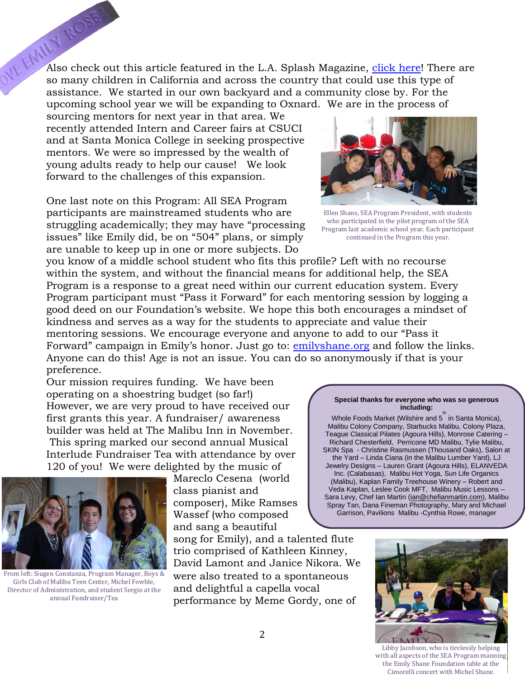$\mathbb{R}^{\mathbb{N}^{\mathbb{N}^{\mathbb{N}^{\mathbb{N}^{\mathbb{N}}}}}$  Also check out this article featured in the L.A. Splash Magazine, [click here!](http://www.lasplash.com/publish/Los_Angeles_Charities_188/the-emily-shane-foundation-paying-it-forward.php) There are so many children in California and across the country so many children in California and across the country that could use this type of assistance. We started in our own backyard and a community close by. For the upcoming school year we will be expanding to Oxnard. We are in the process of

sourcing mentors for next year in that area. We recently attended Intern and Career fairs at CSUCI and at Santa Monica College in seeking prospective mentors. We were so impressed by the wealth of young adults ready to help our cause! We look forward to the challenges of this expansion.

One last note on this Program: All SEA Program participants are mainstreamed students who are struggling academically; they may have "processing issues" like Emily did, be on "504" plans, or simply are unable to keep up in one or more subjects. Do

you know of a middle school student who fits this profile? Left with no recourse within the system, and without the financial means for additional help, the SEA Program is a response to a great need within our current education system. Every Program participant must "Pass it Forward" for each mentoring session by logging a good deed on our Foundation's website. We hope this both encourages a mindset of kindness and serves as a way for the students to appreciate and value their mentoring sessions. We encourage everyone and anyone to add to our "Pass it Forward" campaign in Emily's honor. Just go to: [emilyshane.org](http://www.emilyshane.org/) and follow the links. Anyone can do this! Age is not an issue. You can do so anonymously if that is your preference.

Our mission requires funding. We have been operating on a shoestring budget (so far!) However, we are very proud to have received our first grants this year. A fundraiser/ awareness builder was held at The Malibu Inn in November. This spring marked our second annual Musical Interlude Fundraiser Tea with attendance by over 120 of you! We were delighted by the music of



From left: Siugen Constanza, Program Manager, Boys & Girls Club of Malibu Teen Center, Michel Fowble, Director of Administration, and student Sergio at the annual Fundraiser/Tea

Mareclo Cesena (world class pianist and composer), Mike Ramses Wassef (who composed and sang a beautiful

song for Emily), and a talented flute trio comprised of Kathleen Kinney, David Lamont and Janice Nikora. We were also treated to a spontaneous and delightful a capella vocal performance by Meme Gordy, one of



Ellen Shane, SEA Program President, with students who participated in the pilot program of the SEA Program last academic school year. Each participant continued in the Program this year.

## **Special thanks for everyone who was so generous including:**

Whole Foods Market (Wilshire and 5<sup>th</sup> in Santa Monica), Malibu Colony Company, Starbucks Malibu, Colony Plaza, Teague Classical Pilates (Agoura Hills), Monrose Catering – Richard Chesterfield, Perricone MD Malibu, Tylie Malibu, SKIN Spa - Christine Rasmussen (Thousand Oaks), Salon at the Yard – Linda Ciana (in the Malibu Lumber Yard), LJ Jewelry Designs – Lauren Grant (Agoura Hills), ELANVEDA Inc. (Calabasas), Malibu Hot Yoga, Sun Life Organics (Malibu), Kaplan Family Treehouse Winery – Robert and Veda Kaplan, Leslee Cook MFT, Malibu Music Lessons – Sara Levy, Chef Ian Martin [\(ian@chefianmartin.com\)](mailto:ian@chefianmartin.com), Malibu Spray Tan, Dana Fineman Photography, Mary and Michael Garrison, Pavilions Malibu -Cynthia Rowe, manager



Libby Jacobson, who is tirelessly helping with all aspects of the SEA Program manning the Emily Shane Foundation table at the Cimorelli concert with Michel Shane.